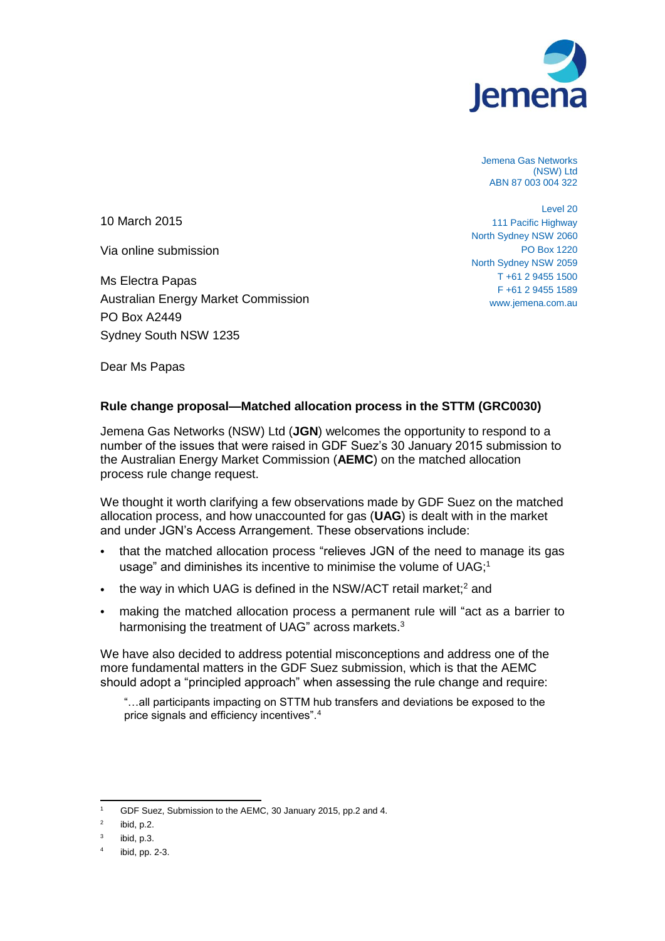

Jemena Gas Networks (NSW) Ltd ABN 87 003 004 322

10 March 2015

Via online submission

Ms Electra Papas Australian Energy Market Commission PO Box A2449 Sydney South NSW 1235

Level 20 111 Pacific Highway North Sydney NSW 2060 PO Box 1220 North Sydney NSW 2059 T +61 2 9455 1500 F +61 2 9455 1589 www.jemena.com.au

Dear Ms Papas

## **Rule change proposal—Matched allocation process in the STTM (GRC0030)**

Jemena Gas Networks (NSW) Ltd (**JGN**) welcomes the opportunity to respond to a number of the issues that were raised in GDF Suez's 30 January 2015 submission to the Australian Energy Market Commission (**AEMC**) on the matched allocation process rule change request.

We thought it worth clarifying a few observations made by GDF Suez on the matched allocation process, and how unaccounted for gas (**UAG**) is dealt with in the market and under JGN's Access Arrangement. These observations include:

- that the matched allocation process "relieves JGN of the need to manage its gas usage" and diminishes its incentive to minimise the volume of UAG;<sup>1</sup>
- $\bullet$  the way in which UAG is defined in the NSW/ACT retail market;<sup>2</sup> and
- making the matched allocation process a permanent rule will "act as a barrier to harmonising the treatment of UAG" across markets.<sup>3</sup>

We have also decided to address potential misconceptions and address one of the more fundamental matters in the GDF Suez submission, which is that the AEMC should adopt a "principled approach" when assessing the rule change and require:

"…all participants impacting on STTM hub transfers and deviations be exposed to the price signals and efficiency incentives".<sup>4</sup>

 $\overline{a}$ <sup>1</sup> GDF Suez, Submission to the AEMC, 30 January 2015, pp.2 and 4.

<sup>2</sup> ibid, p.2.

<sup>3</sup> ibid, p.3.

<sup>4</sup> ibid, pp. 2-3.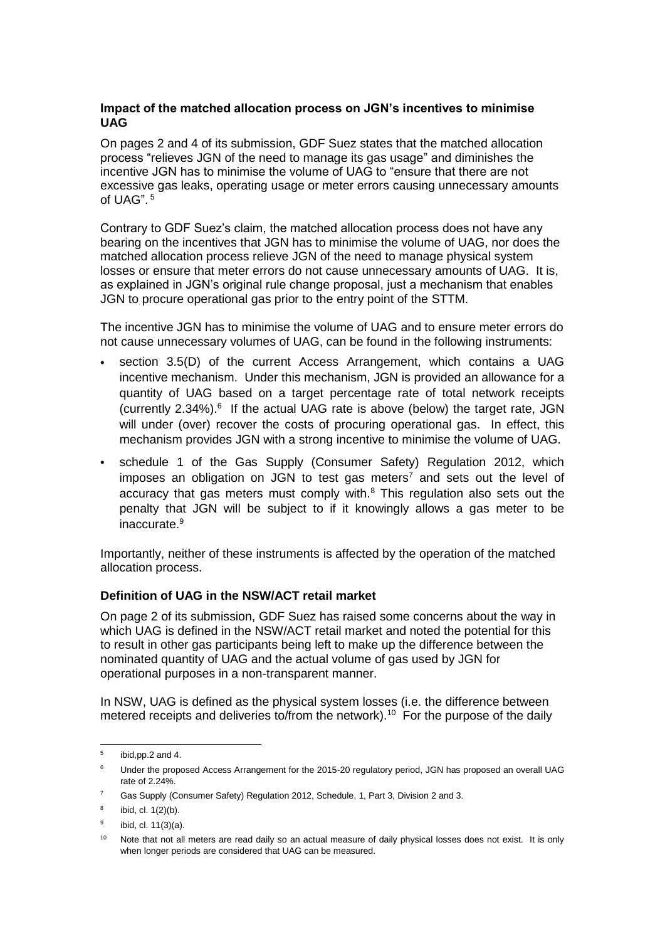## **Impact of the matched allocation process on JGN's incentives to minimise UAG**

On pages 2 and 4 of its submission, GDF Suez states that the matched allocation process "relieves JGN of the need to manage its gas usage" and diminishes the incentive JGN has to minimise the volume of UAG to "ensure that there are not excessive gas leaks, operating usage or meter errors causing unnecessary amounts of UAG". <sup>5</sup>

Contrary to GDF Suez's claim, the matched allocation process does not have any bearing on the incentives that JGN has to minimise the volume of UAG, nor does the matched allocation process relieve JGN of the need to manage physical system losses or ensure that meter errors do not cause unnecessary amounts of UAG. It is, as explained in JGN's original rule change proposal, just a mechanism that enables JGN to procure operational gas prior to the entry point of the STTM.

The incentive JGN has to minimise the volume of UAG and to ensure meter errors do not cause unnecessary volumes of UAG, can be found in the following instruments:

- section 3.5(D) of the current Access Arrangement, which contains a UAG incentive mechanism. Under this mechanism, JGN is provided an allowance for a quantity of UAG based on a target percentage rate of total network receipts (currently 2.34%).<sup>6</sup> If the actual UAG rate is above (below) the target rate, JGN will under (over) recover the costs of procuring operational gas. In effect, this mechanism provides JGN with a strong incentive to minimise the volume of UAG.
- schedule 1 of the Gas Supply (Consumer Safety) Regulation 2012, which imposes an obligation on JGN to test gas meters<sup>7</sup> and sets out the level of accuracy that gas meters must comply with. $8$  This regulation also sets out the penalty that JGN will be subject to if it knowingly allows a gas meter to be inaccurate.<sup>9</sup>

Importantly, neither of these instruments is affected by the operation of the matched allocation process.

## **Definition of UAG in the NSW/ACT retail market**

On page 2 of its submission, GDF Suez has raised some concerns about the way in which UAG is defined in the NSW/ACT retail market and noted the potential for this to result in other gas participants being left to make up the difference between the nominated quantity of UAG and the actual volume of gas used by JGN for operational purposes in a non-transparent manner.

In NSW, UAG is defined as the physical system losses (i.e. the difference between metered receipts and deliveries to/from the network).<sup>10</sup> For the purpose of the daily

<sup>-&</sup>lt;br>5 ibid,pp.2 and 4.

<sup>&</sup>lt;sup>6</sup> Under the proposed Access Arrangement for the 2015-20 regulatory period, JGN has proposed an overall UAG rate of 2.24%.

<sup>7</sup> Gas Supply (Consumer Safety) Regulation 2012, Schedule, 1, Part 3, Division 2 and 3.

<sup>8</sup> ibid, cl. 1(2)(b).

<sup>9</sup> ibid, cl. 11(3)(a).

Note that not all meters are read daily so an actual measure of daily physical losses does not exist. It is only when longer periods are considered that UAG can be measured.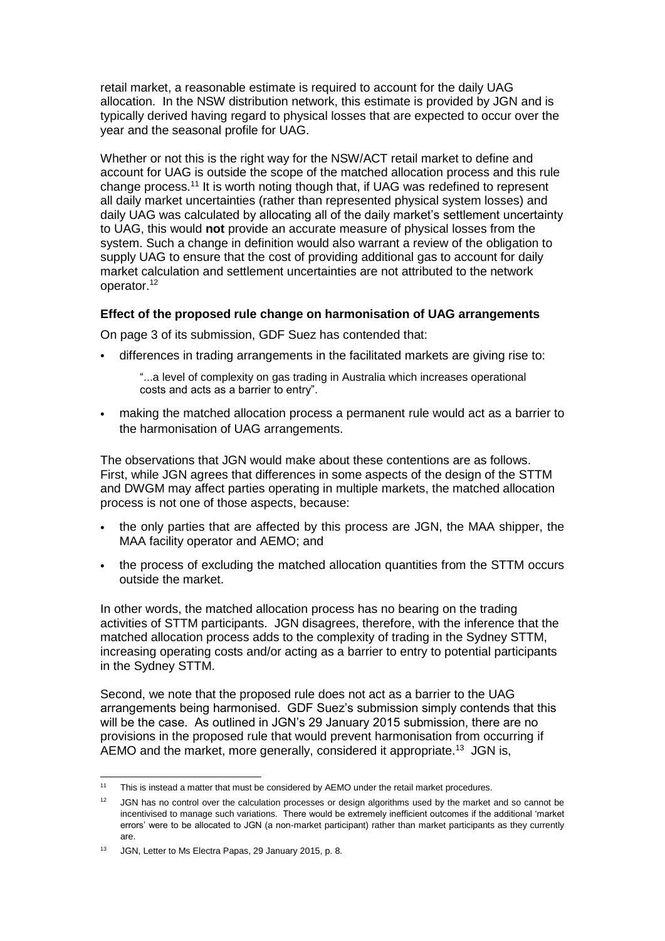retail market, a reasonable estimate is required to account for the daily UAG allocation. In the NSW distribution network, this estimate is provided by JGN and is typically derived having regard to physical losses that are expected to occur over the year and the seasonal profile for UAG.

Whether or not this is the right way for the NSW/ACT retail market to define and account for UAG is outside the scope of the matched allocation process and this rule change process.<sup>11</sup> It is worth noting though that, if UAG was redefined to represent all daily market uncertainties (rather than represented physical system losses) and daily UAG was calculated by allocating all of the daily market's settlement uncertainty to UAG, this would **not** provide an accurate measure of physical losses from the system. Such a change in definition would also warrant a review of the obligation to supply UAG to ensure that the cost of providing additional gas to account for daily market calculation and settlement uncertainties are not attributed to the network operator.<sup>12</sup>

## **Effect of the proposed rule change on harmonisation of UAG arrangements**

On page 3 of its submission, GDF Suez has contended that:

differences in trading arrangements in the facilitated markets are giving rise to:

"...a level of complexity on gas trading in Australia which increases operational costs and acts as a barrier to entry".

 making the matched allocation process a permanent rule would act as a barrier to the harmonisation of UAG arrangements.

The observations that JGN would make about these contentions are as follows. First, while JGN agrees that differences in some aspects of the design of the STTM and DWGM may affect parties operating in multiple markets, the matched allocation process is not one of those aspects, because:

- the only parties that are affected by this process are JGN, the MAA shipper, the MAA facility operator and AEMO; and
- the process of excluding the matched allocation quantities from the STTM occurs outside the market.

In other words, the matched allocation process has no bearing on the trading activities of STTM participants. JGN disagrees, therefore, with the inference that the matched allocation process adds to the complexity of trading in the Sydney STTM, increasing operating costs and/or acting as a barrier to entry to potential participants in the Sydney STTM.

Second, we note that the proposed rule does not act as a barrier to the UAG arrangements being harmonised. GDF Suez's submission simply contends that this will be the case. As outlined in JGN's 29 January 2015 submission, there are no provisions in the proposed rule that would prevent harmonisation from occurring if AEMO and the market, more generally, considered it appropriate.<sup>13</sup> JGN is,

 $11$ This is instead a matter that must be considered by AEMO under the retail market procedures.

<sup>12</sup> JGN has no control over the calculation processes or design algorithms used by the market and so cannot be incentivised to manage such variations. There would be extremely inefficient outcomes if the additional 'market errors' were to be allocated to JGN (a non-market participant) rather than market participants as they currently are.

<sup>&</sup>lt;sup>13</sup> JGN, Letter to Ms Electra Papas, 29 January 2015, p. 8.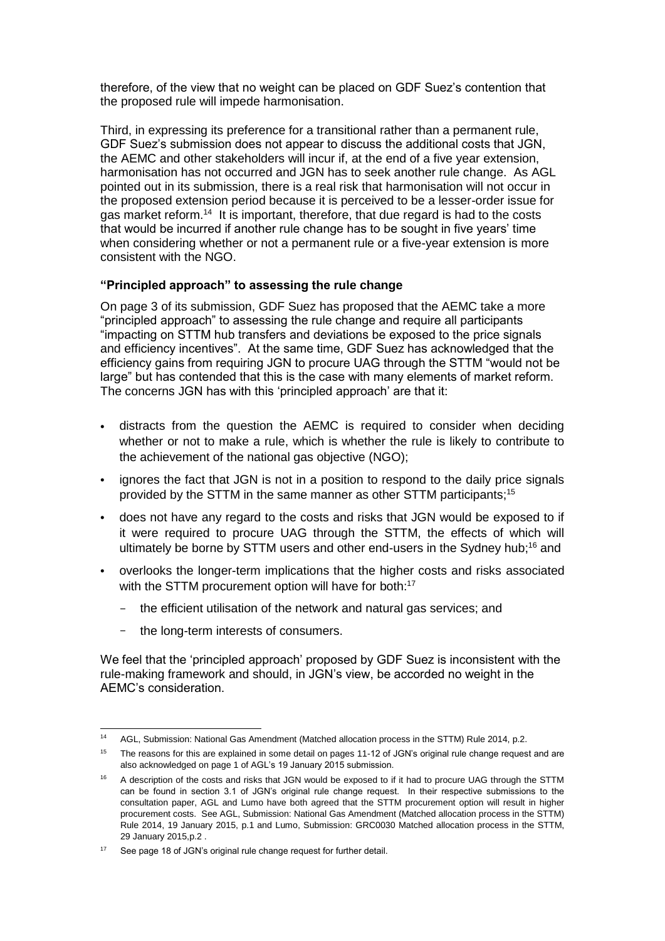therefore, of the view that no weight can be placed on GDF Suez's contention that the proposed rule will impede harmonisation.

Third, in expressing its preference for a transitional rather than a permanent rule, GDF Suez's submission does not appear to discuss the additional costs that JGN, the AEMC and other stakeholders will incur if, at the end of a five year extension, harmonisation has not occurred and JGN has to seek another rule change. As AGL pointed out in its submission, there is a real risk that harmonisation will not occur in the proposed extension period because it is perceived to be a lesser-order issue for gas market reform.<sup>14</sup> It is important, therefore, that due regard is had to the costs that would be incurred if another rule change has to be sought in five years' time when considering whether or not a permanent rule or a five-year extension is more consistent with the NGO.

## **"Principled approach" to assessing the rule change**

On page 3 of its submission, GDF Suez has proposed that the AEMC take a more "principled approach" to assessing the rule change and require all participants "impacting on STTM hub transfers and deviations be exposed to the price signals and efficiency incentives". At the same time, GDF Suez has acknowledged that the efficiency gains from requiring JGN to procure UAG through the STTM "would not be large" but has contended that this is the case with many elements of market reform. The concerns JGN has with this 'principled approach' are that it:

- distracts from the question the AEMC is required to consider when deciding whether or not to make a rule, which is whether the rule is likely to contribute to the achievement of the national gas objective (NGO);
- ignores the fact that JGN is not in a position to respond to the daily price signals provided by the STTM in the same manner as other STTM participants;<sup>15</sup>
- does not have any regard to the costs and risks that JGN would be exposed to if it were required to procure UAG through the STTM, the effects of which will ultimately be borne by STTM users and other end-users in the Sydney hub;<sup>16</sup> and
- overlooks the longer-term implications that the higher costs and risks associated with the STTM procurement option will have for both:<sup>17</sup>
	- the efficient utilisation of the network and natural gas services; and
	- the long-term interests of consumers.

We feel that the 'principled approach' proposed by GDF Suez is inconsistent with the rule-making framework and should, in JGN's view, be accorded no weight in the AEMC's consideration.

 $14$ <sup>14</sup> AGL, Submission: National Gas Amendment (Matched allocation process in the STTM) Rule 2014, p.2.

<sup>&</sup>lt;sup>15</sup> The reasons for this are explained in some detail on pages 11-12 of JGN's original rule change request and are also acknowledged on page 1 of AGL's 19 January 2015 submission.

<sup>&</sup>lt;sup>16</sup> A description of the costs and risks that JGN would be exposed to if it had to procure UAG through the STTM can be found in section 3.1 of JGN's original rule change request. In their respective submissions to the consultation paper, AGL and Lumo have both agreed that the STTM procurement option will result in higher procurement costs. See AGL, Submission: National Gas Amendment (Matched allocation process in the STTM) Rule 2014, 19 January 2015, p.1 and Lumo, Submission: GRC0030 Matched allocation process in the STTM, 29 January 2015,p.2 .

<sup>&</sup>lt;sup>17</sup> See page 18 of JGN's original rule change request for further detail.